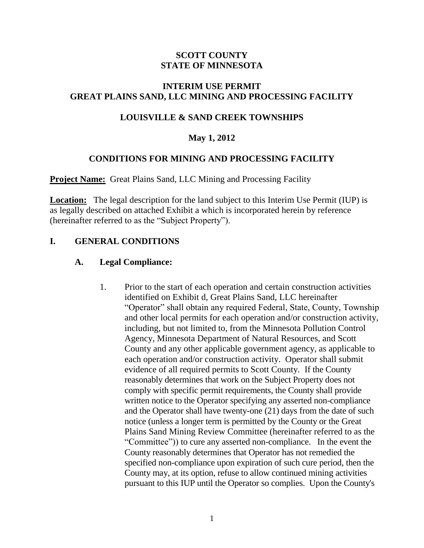### **SCOTT COUNTY STATE OF MINNESOTA**

### **INTERIM USE PERMIT GREAT PLAINS SAND, LLC MINING AND PROCESSING FACILITY**

## **LOUISVILLE & SAND CREEK TOWNSHIPS**

### **May 1, 2012**

### **CONDITIONS FOR MINING AND PROCESSING FACILITY**

**Project Name:** Great Plains Sand, LLC Mining and Processing Facility

**Location:** The legal description for the land subject to this Interim Use Permit (IUP) is as legally described on attached Exhibit a which is incorporated herein by reference (hereinafter referred to as the "Subject Property").

### **I. GENERAL CONDITIONS**

### **A. Legal Compliance:**

1. Prior to the start of each operation and certain construction activities identified on Exhibit d, Great Plains Sand, LLC hereinafter "Operator" shall obtain any required Federal, State, County, Township and other local permits for each operation and/or construction activity, including, but not limited to, from the Minnesota Pollution Control Agency, Minnesota Department of Natural Resources, and Scott County and any other applicable government agency, as applicable to each operation and/or construction activity. Operator shall submit evidence of all required permits to Scott County. If the County reasonably determines that work on the Subject Property does not comply with specific permit requirements, the County shall provide written notice to the Operator specifying any asserted non-compliance and the Operator shall have twenty-one (21) days from the date of such notice (unless a longer term is permitted by the County or the Great Plains Sand Mining Review Committee (hereinafter referred to as the "Committee")) to cure any asserted non-compliance. In the event the County reasonably determines that Operator has not remedied the specified non-compliance upon expiration of such cure period, then the County may, at its option, refuse to allow continued mining activities pursuant to this IUP until the Operator so complies. Upon the County's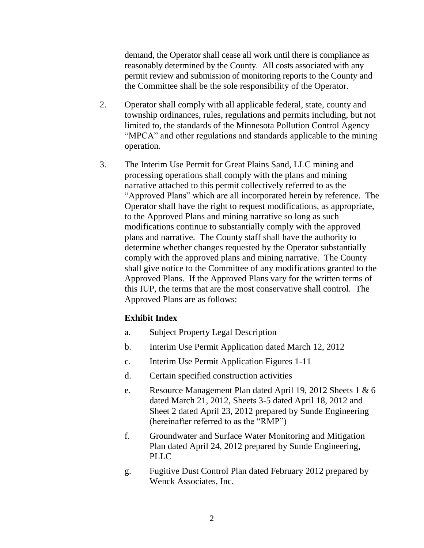demand, the Operator shall cease all work until there is compliance as reasonably determined by the County. All costs associated with any permit review and submission of monitoring reports to the County and the Committee shall be the sole responsibility of the Operator.

- 2. Operator shall comply with all applicable federal, state, county and township ordinances, rules, regulations and permits including, but not limited to, the standards of the Minnesota Pollution Control Agency "MPCA" and other regulations and standards applicable to the mining operation.
- 3. The Interim Use Permit for Great Plains Sand, LLC mining and processing operations shall comply with the plans and mining narrative attached to this permit collectively referred to as the "Approved Plans" which are all incorporated herein by reference. The Operator shall have the right to request modifications, as appropriate, to the Approved Plans and mining narrative so long as such modifications continue to substantially comply with the approved plans and narrative. The County staff shall have the authority to determine whether changes requested by the Operator substantially comply with the approved plans and mining narrative. The County shall give notice to the Committee of any modifications granted to the Approved Plans. If the Approved Plans vary for the written terms of this IUP, the terms that are the most conservative shall control. The Approved Plans are as follows:

### **Exhibit Index**

- a. Subject Property Legal Description
- b. Interim Use Permit Application dated March 12, 2012
- c. Interim Use Permit Application Figures 1-11
- d. Certain specified construction activities
- e. Resource Management Plan dated April 19, 2012 Sheets 1 & 6 dated March 21, 2012, Sheets 3-5 dated April 18, 2012 and Sheet 2 dated April 23, 2012 prepared by Sunde Engineering (hereinafter referred to as the "RMP")
- f. Groundwater and Surface Water Monitoring and Mitigation Plan dated April 24, 2012 prepared by Sunde Engineering, PLLC
- g. Fugitive Dust Control Plan dated February 2012 prepared by Wenck Associates, Inc.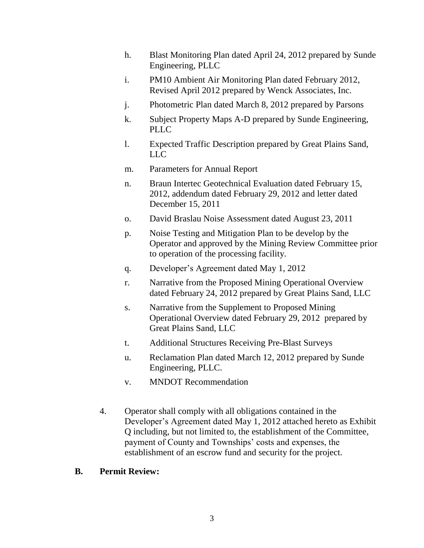- h. Blast Monitoring Plan dated April 24, 2012 prepared by Sunde Engineering, PLLC
- i. PM10 Ambient Air Monitoring Plan dated February 2012, Revised April 2012 prepared by Wenck Associates, Inc.
- j. Photometric Plan dated March 8, 2012 prepared by Parsons
- k. Subject Property Maps A-D prepared by Sunde Engineering, PLLC
- l. Expected Traffic Description prepared by Great Plains Sand, LLC
- m. Parameters for Annual Report
- n. Braun Intertec Geotechnical Evaluation dated February 15, 2012, addendum dated February 29, 2012 and letter dated December 15, 2011
- o. David Braslau Noise Assessment dated August 23, 2011
- p. Noise Testing and Mitigation Plan to be develop by the Operator and approved by the Mining Review Committee prior to operation of the processing facility.
- q. Developer's Agreement dated May 1, 2012
- r. Narrative from the Proposed Mining Operational Overview dated February 24, 2012 prepared by Great Plains Sand, LLC
- s. Narrative from the Supplement to Proposed Mining Operational Overview dated February 29, 2012 prepared by Great Plains Sand, LLC
- t. Additional Structures Receiving Pre-Blast Surveys
- u. Reclamation Plan dated March 12, 2012 prepared by Sunde Engineering, PLLC.
- v. MNDOT Recommendation
- 4. Operator shall comply with all obligations contained in the Developer's Agreement dated May 1, 2012 attached hereto as Exhibit Q including, but not limited to, the establishment of the Committee, payment of County and Townships' costs and expenses, the establishment of an escrow fund and security for the project.

### **B. Permit Review:**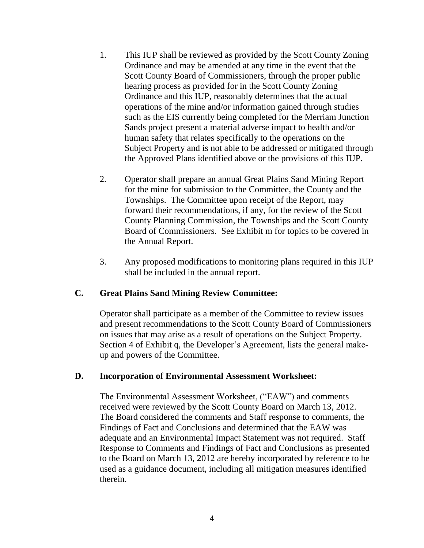- 1. This IUP shall be reviewed as provided by the Scott County Zoning Ordinance and may be amended at any time in the event that the Scott County Board of Commissioners, through the proper public hearing process as provided for in the Scott County Zoning Ordinance and this IUP, reasonably determines that the actual operations of the mine and/or information gained through studies such as the EIS currently being completed for the Merriam Junction Sands project present a material adverse impact to health and/or human safety that relates specifically to the operations on the Subject Property and is not able to be addressed or mitigated through the Approved Plans identified above or the provisions of this IUP.
- 2. Operator shall prepare an annual Great Plains Sand Mining Report for the mine for submission to the Committee, the County and the Townships. The Committee upon receipt of the Report, may forward their recommendations, if any, for the review of the Scott County Planning Commission, the Townships and the Scott County Board of Commissioners. See Exhibit m for topics to be covered in the Annual Report.
- 3. Any proposed modifications to monitoring plans required in this IUP shall be included in the annual report.

### **C. Great Plains Sand Mining Review Committee:**

Operator shall participate as a member of the Committee to review issues and present recommendations to the Scott County Board of Commissioners on issues that may arise as a result of operations on the Subject Property. Section 4 of Exhibit q, the Developer's Agreement, lists the general makeup and powers of the Committee.

#### **D. Incorporation of Environmental Assessment Worksheet:**

The Environmental Assessment Worksheet, ("EAW") and comments received were reviewed by the Scott County Board on March 13, 2012. The Board considered the comments and Staff response to comments, the Findings of Fact and Conclusions and determined that the EAW was adequate and an Environmental Impact Statement was not required. Staff Response to Comments and Findings of Fact and Conclusions as presented to the Board on March 13, 2012 are hereby incorporated by reference to be used as a guidance document, including all mitigation measures identified therein.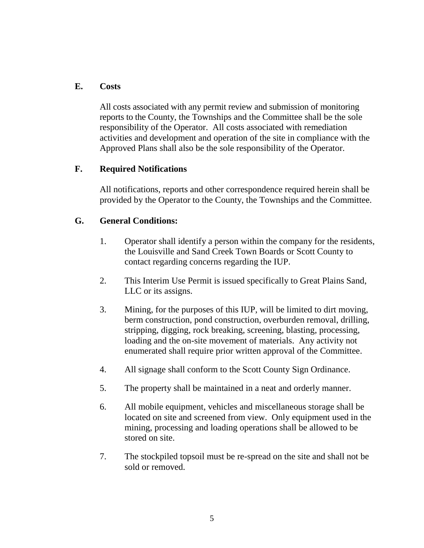#### **E. Costs**

All costs associated with any permit review and submission of monitoring reports to the County, the Townships and the Committee shall be the sole responsibility of the Operator. All costs associated with remediation activities and development and operation of the site in compliance with the Approved Plans shall also be the sole responsibility of the Operator.

### **F. Required Notifications**

All notifications, reports and other correspondence required herein shall be provided by the Operator to the County, the Townships and the Committee.

#### **G. General Conditions:**

- 1. Operator shall identify a person within the company for the residents, the Louisville and Sand Creek Town Boards or Scott County to contact regarding concerns regarding the IUP.
- 2. This Interim Use Permit is issued specifically to Great Plains Sand, LLC or its assigns.
- 3. Mining, for the purposes of this IUP, will be limited to dirt moving, berm construction, pond construction, overburden removal, drilling, stripping, digging, rock breaking, screening, blasting, processing, loading and the on-site movement of materials. Any activity not enumerated shall require prior written approval of the Committee.
- 4. All signage shall conform to the Scott County Sign Ordinance.
- 5. The property shall be maintained in a neat and orderly manner.
- 6. All mobile equipment, vehicles and miscellaneous storage shall be located on site and screened from view. Only equipment used in the mining, processing and loading operations shall be allowed to be stored on site.
- 7. The stockpiled topsoil must be re-spread on the site and shall not be sold or removed.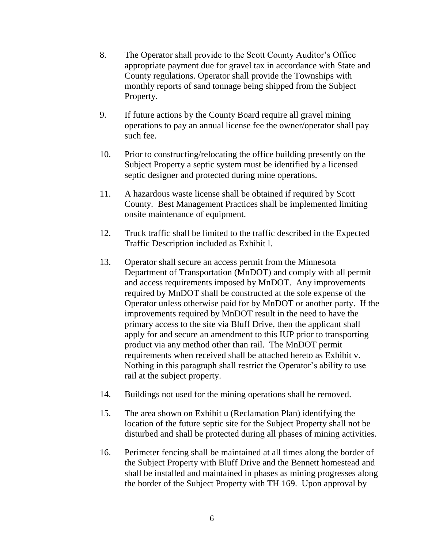- 8. The Operator shall provide to the Scott County Auditor's Office appropriate payment due for gravel tax in accordance with State and County regulations. Operator shall provide the Townships with monthly reports of sand tonnage being shipped from the Subject Property.
- 9. If future actions by the County Board require all gravel mining operations to pay an annual license fee the owner/operator shall pay such fee.
- 10. Prior to constructing/relocating the office building presently on the Subject Property a septic system must be identified by a licensed septic designer and protected during mine operations.
- 11. A hazardous waste license shall be obtained if required by Scott County. Best Management Practices shall be implemented limiting onsite maintenance of equipment.
- 12. Truck traffic shall be limited to the traffic described in the Expected Traffic Description included as Exhibit l.
- 13. Operator shall secure an access permit from the Minnesota Department of Transportation (MnDOT) and comply with all permit and access requirements imposed by MnDOT. Any improvements required by MnDOT shall be constructed at the sole expense of the Operator unless otherwise paid for by MnDOT or another party. If the improvements required by MnDOT result in the need to have the primary access to the site via Bluff Drive, then the applicant shall apply for and secure an amendment to this IUP prior to transporting product via any method other than rail. The MnDOT permit requirements when received shall be attached hereto as Exhibit v. Nothing in this paragraph shall restrict the Operator's ability to use rail at the subject property.
- 14. Buildings not used for the mining operations shall be removed.
- 15. The area shown on Exhibit u (Reclamation Plan) identifying the location of the future septic site for the Subject Property shall not be disturbed and shall be protected during all phases of mining activities.
- 16. Perimeter fencing shall be maintained at all times along the border of the Subject Property with Bluff Drive and the Bennett homestead and shall be installed and maintained in phases as mining progresses along the border of the Subject Property with TH 169. Upon approval by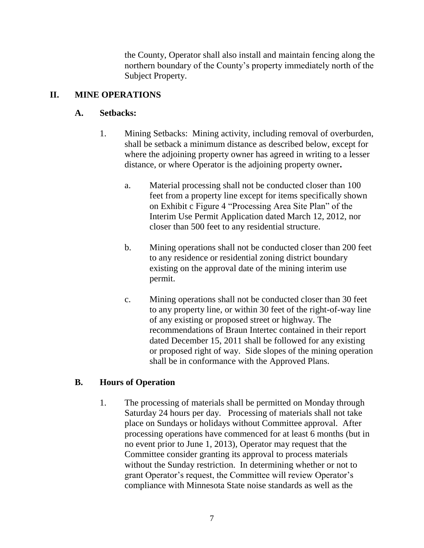the County, Operator shall also install and maintain fencing along the northern boundary of the County's property immediately north of the Subject Property.

# **II. MINE OPERATIONS**

## **A. Setbacks:**

- 1. Mining Setbacks: Mining activity, including removal of overburden, shall be setback a minimum distance as described below, except for where the adjoining property owner has agreed in writing to a lesser distance, or where Operator is the adjoining property owner**.**
	- a. Material processing shall not be conducted closer than 100 feet from a property line except for items specifically shown on Exhibit c Figure 4 "Processing Area Site Plan" of the Interim Use Permit Application dated March 12, 2012, nor closer than 500 feet to any residential structure.
	- b. Mining operations shall not be conducted closer than 200 feet to any residence or residential zoning district boundary existing on the approval date of the mining interim use permit.
	- c. Mining operations shall not be conducted closer than 30 feet to any property line, or within 30 feet of the right-of-way line of any existing or proposed street or highway. The recommendations of Braun Intertec contained in their report dated December 15, 2011 shall be followed for any existing or proposed right of way. Side slopes of the mining operation shall be in conformance with the Approved Plans.

### **B. Hours of Operation**

1. The processing of materials shall be permitted on Monday through Saturday 24 hours per day. Processing of materials shall not take place on Sundays or holidays without Committee approval. After processing operations have commenced for at least 6 months (but in no event prior to June 1, 2013), Operator may request that the Committee consider granting its approval to process materials without the Sunday restriction. In determining whether or not to grant Operator's request, the Committee will review Operator's compliance with Minnesota State noise standards as well as the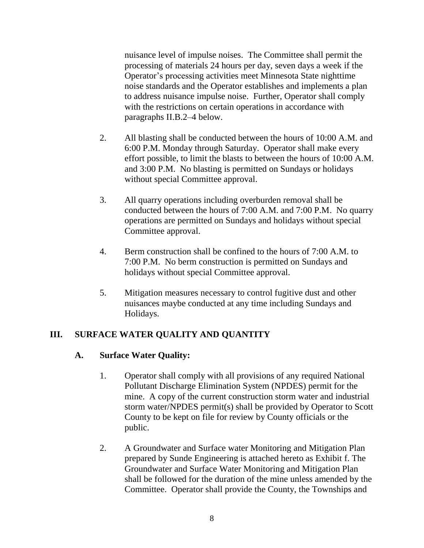nuisance level of impulse noises. The Committee shall permit the processing of materials 24 hours per day, seven days a week if the Operator's processing activities meet Minnesota State nighttime noise standards and the Operator establishes and implements a plan to address nuisance impulse noise. Further, Operator shall comply with the restrictions on certain operations in accordance with paragraphs II.B.2–4 below.

- 2. All blasting shall be conducted between the hours of 10:00 A.M. and 6:00 P.M. Monday through Saturday. Operator shall make every effort possible, to limit the blasts to between the hours of 10:00 A.M. and 3:00 P.M. No blasting is permitted on Sundays or holidays without special Committee approval.
- 3. All quarry operations including overburden removal shall be conducted between the hours of 7:00 A.M. and 7:00 P.M. No quarry operations are permitted on Sundays and holidays without special Committee approval.
- 4. Berm construction shall be confined to the hours of 7:00 A.M. to 7:00 P.M. No berm construction is permitted on Sundays and holidays without special Committee approval.
- 5. Mitigation measures necessary to control fugitive dust and other nuisances maybe conducted at any time including Sundays and Holidays.

## **III. SURFACE WATER QUALITY AND QUANTITY**

### **A. Surface Water Quality:**

- 1. Operator shall comply with all provisions of any required National Pollutant Discharge Elimination System (NPDES) permit for the mine. A copy of the current construction storm water and industrial storm water/NPDES permit(s) shall be provided by Operator to Scott County to be kept on file for review by County officials or the public.
- 2. A Groundwater and Surface water Monitoring and Mitigation Plan prepared by Sunde Engineering is attached hereto as Exhibit f. The Groundwater and Surface Water Monitoring and Mitigation Plan shall be followed for the duration of the mine unless amended by the Committee. Operator shall provide the County, the Townships and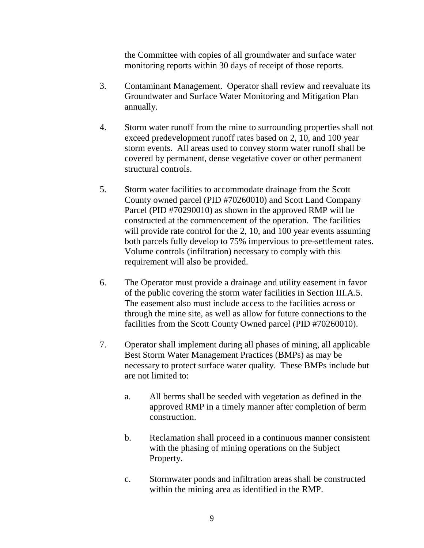the Committee with copies of all groundwater and surface water monitoring reports within 30 days of receipt of those reports.

- 3. Contaminant Management. Operator shall review and reevaluate its Groundwater and Surface Water Monitoring and Mitigation Plan annually.
- 4. Storm water runoff from the mine to surrounding properties shall not exceed predevelopment runoff rates based on 2, 10, and 100 year storm events. All areas used to convey storm water runoff shall be covered by permanent, dense vegetative cover or other permanent structural controls.
- 5. Storm water facilities to accommodate drainage from the Scott County owned parcel (PID #70260010) and Scott Land Company Parcel (PID #70290010) as shown in the approved RMP will be constructed at the commencement of the operation. The facilities will provide rate control for the 2, 10, and 100 year events assuming both parcels fully develop to 75% impervious to pre-settlement rates. Volume controls (infiltration) necessary to comply with this requirement will also be provided.
- 6. The Operator must provide a drainage and utility easement in favor of the public covering the storm water facilities in Section III.A.5. The easement also must include access to the facilities across or through the mine site, as well as allow for future connections to the facilities from the Scott County Owned parcel (PID #70260010).
- 7. Operator shall implement during all phases of mining, all applicable Best Storm Water Management Practices (BMPs) as may be necessary to protect surface water quality. These BMPs include but are not limited to:
	- a. All berms shall be seeded with vegetation as defined in the approved RMP in a timely manner after completion of berm construction.
	- b. Reclamation shall proceed in a continuous manner consistent with the phasing of mining operations on the Subject Property.
	- c. Stormwater ponds and infiltration areas shall be constructed within the mining area as identified in the RMP.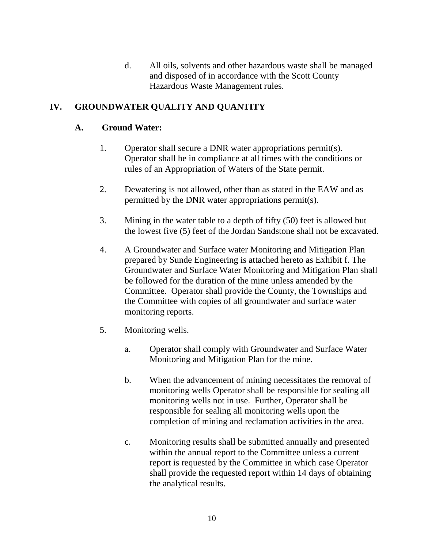d. All oils, solvents and other hazardous waste shall be managed and disposed of in accordance with the Scott County Hazardous Waste Management rules.

## **IV. GROUNDWATER QUALITY AND QUANTITY**

### **A. Ground Water:**

- 1. Operator shall secure a DNR water appropriations permit(s). Operator shall be in compliance at all times with the conditions or rules of an Appropriation of Waters of the State permit.
- 2. Dewatering is not allowed, other than as stated in the EAW and as permitted by the DNR water appropriations permit(s).
- 3. Mining in the water table to a depth of fifty (50) feet is allowed but the lowest five (5) feet of the Jordan Sandstone shall not be excavated.
- 4. A Groundwater and Surface water Monitoring and Mitigation Plan prepared by Sunde Engineering is attached hereto as Exhibit f. The Groundwater and Surface Water Monitoring and Mitigation Plan shall be followed for the duration of the mine unless amended by the Committee. Operator shall provide the County, the Townships and the Committee with copies of all groundwater and surface water monitoring reports.
- 5. Monitoring wells.
	- a. Operator shall comply with Groundwater and Surface Water Monitoring and Mitigation Plan for the mine.
	- b. When the advancement of mining necessitates the removal of monitoring wells Operator shall be responsible for sealing all monitoring wells not in use. Further, Operator shall be responsible for sealing all monitoring wells upon the completion of mining and reclamation activities in the area.
	- c. Monitoring results shall be submitted annually and presented within the annual report to the Committee unless a current report is requested by the Committee in which case Operator shall provide the requested report within 14 days of obtaining the analytical results.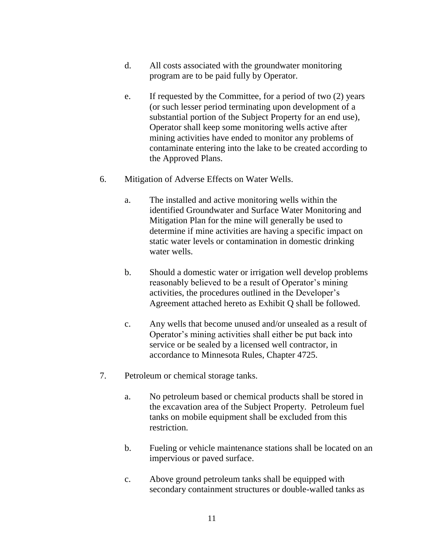- d. All costs associated with the groundwater monitoring program are to be paid fully by Operator.
- e. If requested by the Committee, for a period of two (2) years (or such lesser period terminating upon development of a substantial portion of the Subject Property for an end use), Operator shall keep some monitoring wells active after mining activities have ended to monitor any problems of contaminate entering into the lake to be created according to the Approved Plans.
- 6. Mitigation of Adverse Effects on Water Wells.
	- a. The installed and active monitoring wells within the identified Groundwater and Surface Water Monitoring and Mitigation Plan for the mine will generally be used to determine if mine activities are having a specific impact on static water levels or contamination in domestic drinking water wells.
	- b. Should a domestic water or irrigation well develop problems reasonably believed to be a result of Operator's mining activities, the procedures outlined in the Developer's Agreement attached hereto as Exhibit Q shall be followed.
	- c. Any wells that become unused and/or unsealed as a result of Operator's mining activities shall either be put back into service or be sealed by a licensed well contractor, in accordance to Minnesota Rules, Chapter 4725.
- 7. Petroleum or chemical storage tanks.
	- a. No petroleum based or chemical products shall be stored in the excavation area of the Subject Property. Petroleum fuel tanks on mobile equipment shall be excluded from this restriction.
	- b. Fueling or vehicle maintenance stations shall be located on an impervious or paved surface.
	- c. Above ground petroleum tanks shall be equipped with secondary containment structures or double-walled tanks as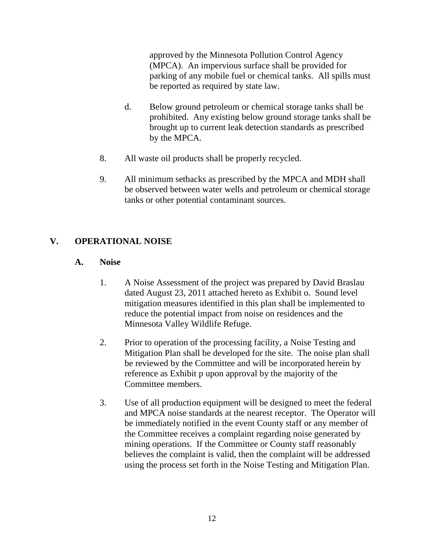approved by the Minnesota Pollution Control Agency (MPCA). An impervious surface shall be provided for parking of any mobile fuel or chemical tanks. All spills must be reported as required by state law.

- d. Below ground petroleum or chemical storage tanks shall be prohibited. Any existing below ground storage tanks shall be brought up to current leak detection standards as prescribed by the MPCA.
- 8. All waste oil products shall be properly recycled.
- 9. All minimum setbacks as prescribed by the MPCA and MDH shall be observed between water wells and petroleum or chemical storage tanks or other potential contaminant sources.

## **V. OPERATIONAL NOISE**

## **A. Noise**

- 1. A Noise Assessment of the project was prepared by David Braslau dated August 23, 2011 attached hereto as Exhibit o. Sound level mitigation measures identified in this plan shall be implemented to reduce the potential impact from noise on residences and the Minnesota Valley Wildlife Refuge.
- 2. Prior to operation of the processing facility, a Noise Testing and Mitigation Plan shall be developed for the site. The noise plan shall be reviewed by the Committee and will be incorporated herein by reference as Exhibit p upon approval by the majority of the Committee members.
- 3. Use of all production equipment will be designed to meet the federal and MPCA noise standards at the nearest receptor. The Operator will be immediately notified in the event County staff or any member of the Committee receives a complaint regarding noise generated by mining operations. If the Committee or County staff reasonably believes the complaint is valid, then the complaint will be addressed using the process set forth in the Noise Testing and Mitigation Plan.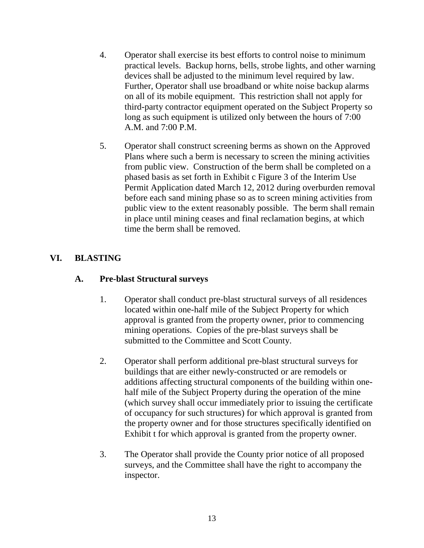- 4. Operator shall exercise its best efforts to control noise to minimum practical levels. Backup horns, bells, strobe lights, and other warning devices shall be adjusted to the minimum level required by law. Further, Operator shall use broadband or white noise backup alarms on all of its mobile equipment. This restriction shall not apply for third-party contractor equipment operated on the Subject Property so long as such equipment is utilized only between the hours of 7:00 A.M. and 7:00 P.M.
- 5. Operator shall construct screening berms as shown on the Approved Plans where such a berm is necessary to screen the mining activities from public view. Construction of the berm shall be completed on a phased basis as set forth in Exhibit c Figure 3 of the Interim Use Permit Application dated March 12, 2012 during overburden removal before each sand mining phase so as to screen mining activities from public view to the extent reasonably possible. The berm shall remain in place until mining ceases and final reclamation begins, at which time the berm shall be removed.

## **VI. BLASTING**

### **A. Pre-blast Structural surveys**

- 1. Operator shall conduct pre-blast structural surveys of all residences located within one-half mile of the Subject Property for which approval is granted from the property owner, prior to commencing mining operations. Copies of the pre-blast surveys shall be submitted to the Committee and Scott County.
- 2. Operator shall perform additional pre-blast structural surveys for buildings that are either newly-constructed or are remodels or additions affecting structural components of the building within onehalf mile of the Subject Property during the operation of the mine (which survey shall occur immediately prior to issuing the certificate of occupancy for such structures) for which approval is granted from the property owner and for those structures specifically identified on Exhibit t for which approval is granted from the property owner.
- 3. The Operator shall provide the County prior notice of all proposed surveys, and the Committee shall have the right to accompany the inspector.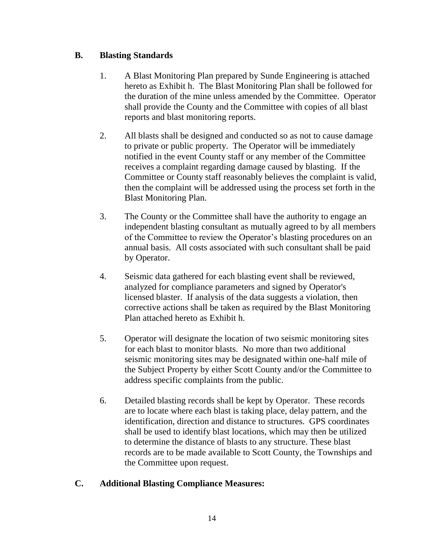## **B. Blasting Standards**

- 1. A Blast Monitoring Plan prepared by Sunde Engineering is attached hereto as Exhibit h. The Blast Monitoring Plan shall be followed for the duration of the mine unless amended by the Committee. Operator shall provide the County and the Committee with copies of all blast reports and blast monitoring reports.
- 2. All blasts shall be designed and conducted so as not to cause damage to private or public property. The Operator will be immediately notified in the event County staff or any member of the Committee receives a complaint regarding damage caused by blasting. If the Committee or County staff reasonably believes the complaint is valid, then the complaint will be addressed using the process set forth in the Blast Monitoring Plan.
- 3. The County or the Committee shall have the authority to engage an independent blasting consultant as mutually agreed to by all members of the Committee to review the Operator's blasting procedures on an annual basis. All costs associated with such consultant shall be paid by Operator.
- 4. Seismic data gathered for each blasting event shall be reviewed, analyzed for compliance parameters and signed by Operator's licensed blaster. If analysis of the data suggests a violation, then corrective actions shall be taken as required by the Blast Monitoring Plan attached hereto as Exhibit h.
- 5. Operator will designate the location of two seismic monitoring sites for each blast to monitor blasts. No more than two additional seismic monitoring sites may be designated within one-half mile of the Subject Property by either Scott County and/or the Committee to address specific complaints from the public.
- 6. Detailed blasting records shall be kept by Operator. These records are to locate where each blast is taking place, delay pattern, and the identification, direction and distance to structures. GPS coordinates shall be used to identify blast locations, which may then be utilized to determine the distance of blasts to any structure. These blast records are to be made available to Scott County, the Townships and the Committee upon request.

## **C. Additional Blasting Compliance Measures:**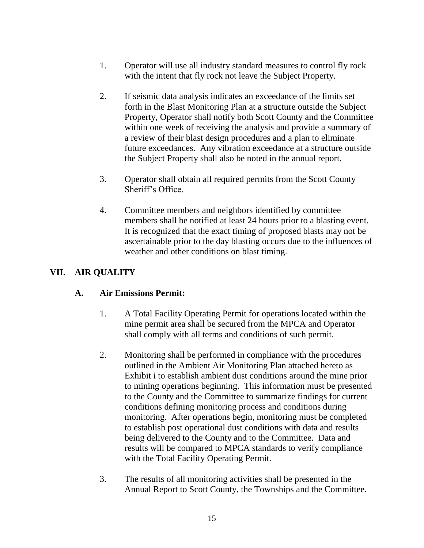- 1. Operator will use all industry standard measures to control fly rock with the intent that fly rock not leave the Subject Property.
- 2. If seismic data analysis indicates an exceedance of the limits set forth in the Blast Monitoring Plan at a structure outside the Subject Property, Operator shall notify both Scott County and the Committee within one week of receiving the analysis and provide a summary of a review of their blast design procedures and a plan to eliminate future exceedances. Any vibration exceedance at a structure outside the Subject Property shall also be noted in the annual report.
- 3. Operator shall obtain all required permits from the Scott County Sheriff's Office.
- 4. Committee members and neighbors identified by committee members shall be notified at least 24 hours prior to a blasting event. It is recognized that the exact timing of proposed blasts may not be ascertainable prior to the day blasting occurs due to the influences of weather and other conditions on blast timing.

## **VII. AIR QUALITY**

## **A. Air Emissions Permit:**

- 1. A Total Facility Operating Permit for operations located within the mine permit area shall be secured from the MPCA and Operator shall comply with all terms and conditions of such permit.
- 2. Monitoring shall be performed in compliance with the procedures outlined in the Ambient Air Monitoring Plan attached hereto as Exhibit i to establish ambient dust conditions around the mine prior to mining operations beginning. This information must be presented to the County and the Committee to summarize findings for current conditions defining monitoring process and conditions during monitoring. After operations begin, monitoring must be completed to establish post operational dust conditions with data and results being delivered to the County and to the Committee. Data and results will be compared to MPCA standards to verify compliance with the Total Facility Operating Permit.
- 3. The results of all monitoring activities shall be presented in the Annual Report to Scott County, the Townships and the Committee.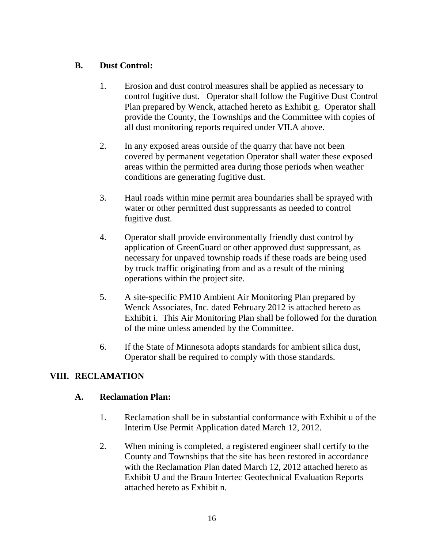## **B. Dust Control:**

- 1. Erosion and dust control measures shall be applied as necessary to control fugitive dust. Operator shall follow the Fugitive Dust Control Plan prepared by Wenck, attached hereto as Exhibit g. Operator shall provide the County, the Townships and the Committee with copies of all dust monitoring reports required under VII.A above.
- 2. In any exposed areas outside of the quarry that have not been covered by permanent vegetation Operator shall water these exposed areas within the permitted area during those periods when weather conditions are generating fugitive dust.
- 3. Haul roads within mine permit area boundaries shall be sprayed with water or other permitted dust suppressants as needed to control fugitive dust.
- 4. Operator shall provide environmentally friendly dust control by application of GreenGuard or other approved dust suppressant, as necessary for unpaved township roads if these roads are being used by truck traffic originating from and as a result of the mining operations within the project site.
- 5. A site-specific PM10 Ambient Air Monitoring Plan prepared by Wenck Associates, Inc. dated February 2012 is attached hereto as Exhibit i. This Air Monitoring Plan shall be followed for the duration of the mine unless amended by the Committee.
- 6. If the State of Minnesota adopts standards for ambient silica dust, Operator shall be required to comply with those standards.

# **VIII. RECLAMATION**

## **A. Reclamation Plan:**

- 1. Reclamation shall be in substantial conformance with Exhibit u of the Interim Use Permit Application dated March 12, 2012.
- 2. When mining is completed, a registered engineer shall certify to the County and Townships that the site has been restored in accordance with the Reclamation Plan dated March 12, 2012 attached hereto as Exhibit U and the Braun Intertec Geotechnical Evaluation Reports attached hereto as Exhibit n.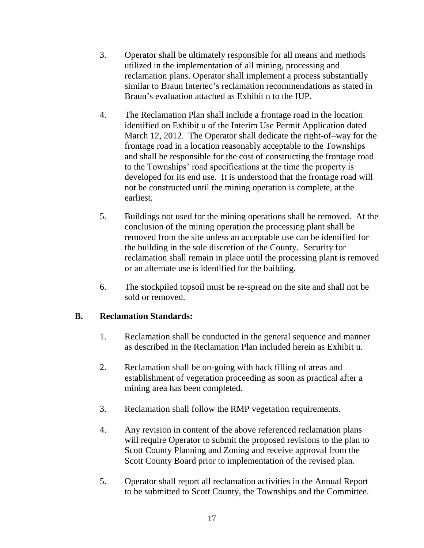- 3. Operator shall be ultimately responsible for all means and methods utilized in the implementation of all mining, processing and reclamation plans. Operator shall implement a process substantially similar to Braun Intertec's reclamation recommendations as stated in Braun's evaluation attached as Exhibit n to the IUP.
- 4. The Reclamation Plan shall include a frontage road in the location identified on Exhibit u of the Interim Use Permit Application dated March 12, 2012. The Operator shall dedicate the right-of–way for the frontage road in a location reasonably acceptable to the Townships and shall be responsible for the cost of constructing the frontage road to the Townships' road specifications at the time the property is developed for its end use. It is understood that the frontage road will not be constructed until the mining operation is complete, at the earliest.
- 5. Buildings not used for the mining operations shall be removed. At the conclusion of the mining operation the processing plant shall be removed from the site unless an acceptable use can be identified for the building in the sole discretion of the County. Security for reclamation shall remain in place until the processing plant is removed or an alternate use is identified for the building.
- 6. The stockpiled topsoil must be re-spread on the site and shall not be sold or removed.

### **B. Reclamation Standards:**

- 1. Reclamation shall be conducted in the general sequence and manner as described in the Reclamation Plan included herein as Exhibit u.
- 2. Reclamation shall be on-going with back filling of areas and establishment of vegetation proceeding as soon as practical after a mining area has been completed.
- 3. Reclamation shall follow the RMP vegetation requirements.
- 4. Any revision in content of the above referenced reclamation plans will require Operator to submit the proposed revisions to the plan to Scott County Planning and Zoning and receive approval from the Scott County Board prior to implementation of the revised plan.
- 5. Operator shall report all reclamation activities in the Annual Report to be submitted to Scott County, the Townships and the Committee.